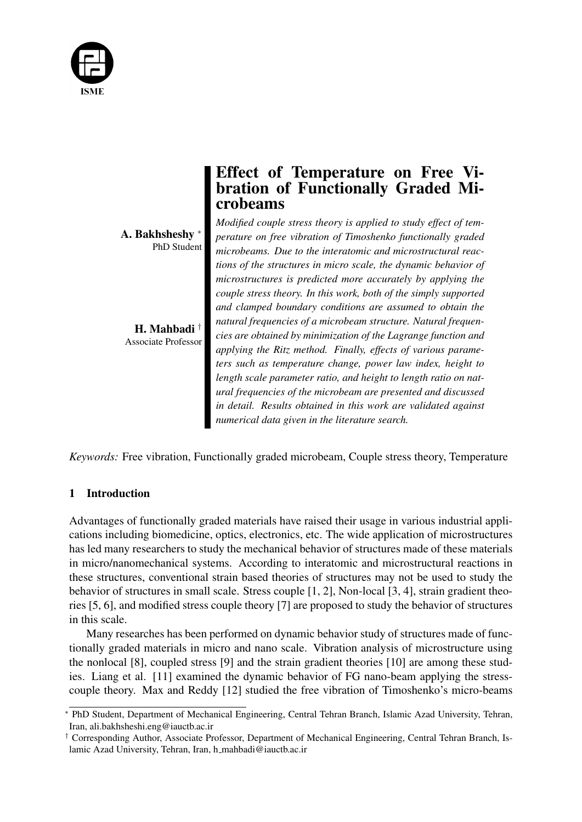

A. Bakhsheshy <sup>∗</sup> PhD Student

H. Mahbadi † Associate Professor

# Effect of Temperature on Free Vibration of Functionally Graded Microbeams

*Modified couple stress theory is applied to study effect of temperature on free vibration of Timoshenko functionally graded microbeams. Due to the interatomic and microstructural reactions of the structures in micro scale, the dynamic behavior of microstructures is predicted more accurately by applying the couple stress theory. In this work, both of the simply supported and clamped boundary conditions are assumed to obtain the natural frequencies of a microbeam structure. Natural frequencies are obtained by minimization of the Lagrange function and applying the Ritz method. Finally, effects of various parameters such as temperature change, power law index, height to length scale parameter ratio, and height to length ratio on natural frequencies of the microbeam are presented and discussed in detail. Results obtained in this work are validated against numerical data given in the literature search.*

*Keywords:* Free vibration, Functionally graded microbeam, Couple stress theory, Temperature

# 1 Introduction

Advantages of functionally graded materials have raised their usage in various industrial applications including biomedicine, optics, electronics, etc. The wide application of microstructures has led many researchers to study the mechanical behavior of structures made of these materials in micro/nanomechanical systems. According to interatomic and microstructural reactions in these structures, conventional strain based theories of structures may not be used to study the behavior of structures in small scale. Stress couple [1, 2], Non-local [3, 4], strain gradient theories [5, 6], and modified stress couple theory [7] are proposed to study the behavior of structures in this scale.

Many researches has been performed on dynamic behavior study of structures made of functionally graded materials in micro and nano scale. Vibration analysis of microstructure using the nonlocal [8], coupled stress [9] and the strain gradient theories [10] are among these studies. Liang et al. [11] examined the dynamic behavior of FG nano-beam applying the stresscouple theory. Max and Reddy [12] studied the free vibration of Timoshenko's micro-beams

<sup>∗</sup> PhD Student, Department of Mechanical Engineering, Central Tehran Branch, Islamic Azad University, Tehran, Iran, ali.bakhsheshi.eng@iauctb.ac.ir

<sup>†</sup> Corresponding Author, Associate Professor, Department of Mechanical Engineering, Central Tehran Branch, Islamic Azad University, Tehran, Iran, h mahbadi@iauctb.ac.ir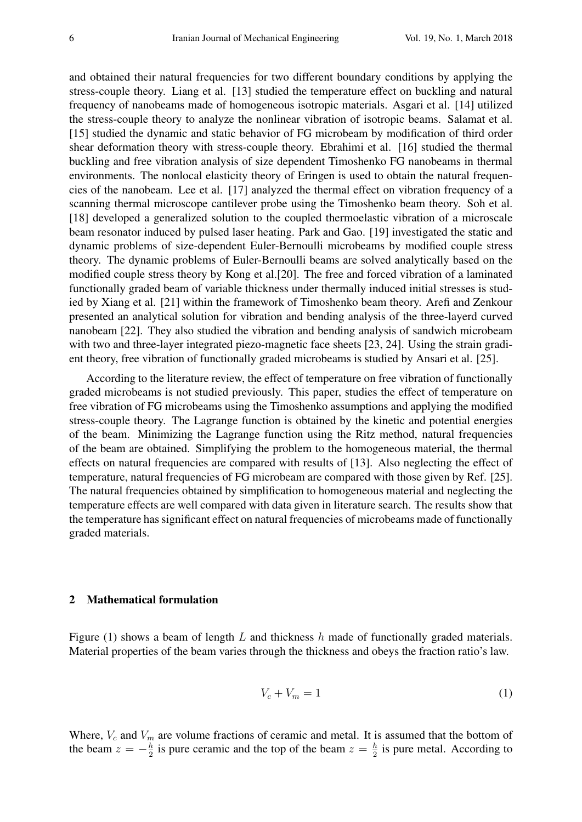and obtained their natural frequencies for two different boundary conditions by applying the stress-couple theory. Liang et al. [13] studied the temperature effect on buckling and natural frequency of nanobeams made of homogeneous isotropic materials. Asgari et al. [14] utilized the stress-couple theory to analyze the nonlinear vibration of isotropic beams. Salamat et al. [15] studied the dynamic and static behavior of FG microbeam by modification of third order shear deformation theory with stress-couple theory. Ebrahimi et al. [16] studied the thermal buckling and free vibration analysis of size dependent Timoshenko FG nanobeams in thermal environments. The nonlocal elasticity theory of Eringen is used to obtain the natural frequencies of the nanobeam. Lee et al. [17] analyzed the thermal effect on vibration frequency of a scanning thermal microscope cantilever probe using the Timoshenko beam theory. Soh et al. [18] developed a generalized solution to the coupled thermoelastic vibration of a microscale beam resonator induced by pulsed laser heating. Park and Gao. [19] investigated the static and dynamic problems of size-dependent Euler-Bernoulli microbeams by modified couple stress theory. The dynamic problems of Euler-Bernoulli beams are solved analytically based on the modified couple stress theory by Kong et al.[20]. The free and forced vibration of a laminated functionally graded beam of variable thickness under thermally induced initial stresses is studied by Xiang et al. [21] within the framework of Timoshenko beam theory. Arefi and Zenkour presented an analytical solution for vibration and bending analysis of the three-layerd curved nanobeam [22]. They also studied the vibration and bending analysis of sandwich microbeam with two and three-layer integrated piezo-magnetic face sheets [23, 24]. Using the strain gradient theory, free vibration of functionally graded microbeams is studied by Ansari et al. [25].

According to the literature review, the effect of temperature on free vibration of functionally graded microbeams is not studied previously. This paper, studies the effect of temperature on free vibration of FG microbeams using the Timoshenko assumptions and applying the modified stress-couple theory. The Lagrange function is obtained by the kinetic and potential energies of the beam. Minimizing the Lagrange function using the Ritz method, natural frequencies of the beam are obtained. Simplifying the problem to the homogeneous material, the thermal effects on natural frequencies are compared with results of [13]. Also neglecting the effect of temperature, natural frequencies of FG microbeam are compared with those given by Ref. [25]. The natural frequencies obtained by simplification to homogeneous material and neglecting the temperature effects are well compared with data given in literature search. The results show that the temperature has significant effect on natural frequencies of microbeams made of functionally graded materials.

## 2 Mathematical formulation

Figure (1) shows a beam of length L and thickness  $h$  made of functionally graded materials. Material properties of the beam varies through the thickness and obeys the fraction ratio's law.

$$
V_c + V_m = 1\tag{1}
$$

Where,  $V_c$  and  $V_m$  are volume fractions of ceramic and metal. It is assumed that the bottom of the beam  $z = -\frac{h}{2}$  $\frac{h}{2}$  is pure ceramic and the top of the beam  $z = \frac{h}{2}$  $\frac{h}{2}$  is pure metal. According to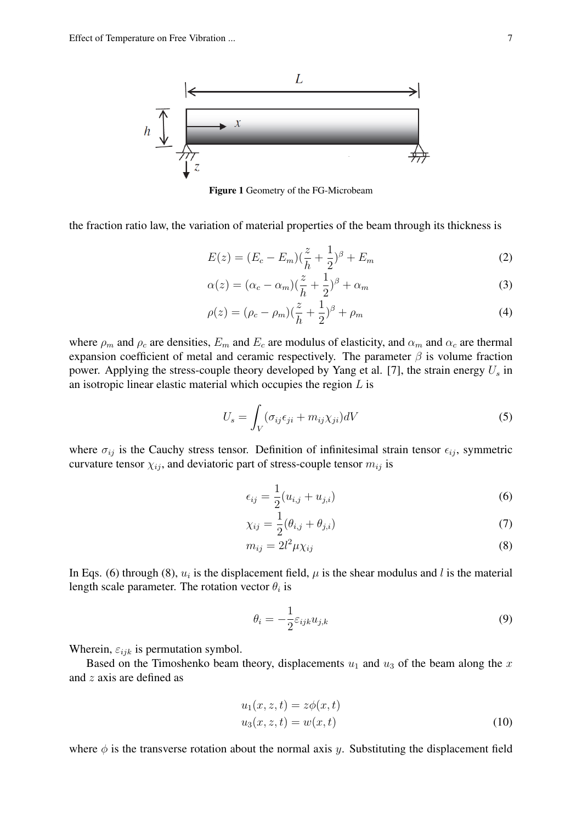

Figure 1 Geometry of the FG-Microbeam

the fraction ratio law, the variation of material properties of the beam through its thickness is

$$
E(z) = (E_c - E_m)(\frac{z}{h} + \frac{1}{2})^{\beta} + E_m
$$
 (2)

$$
\alpha(z) = (\alpha_c - \alpha_m)(\frac{z}{h} + \frac{1}{2})^{\beta} + \alpha_m \tag{3}
$$

$$
\rho(z) = (\rho_c - \rho_m)(\frac{z}{h} + \frac{1}{2})^{\beta} + \rho_m
$$
\n(4)

where  $\rho_m$  and  $\rho_c$  are densities,  $E_m$  and  $E_c$  are modulus of elasticity, and  $\alpha_m$  and  $\alpha_c$  are thermal expansion coefficient of metal and ceramic respectively. The parameter  $\beta$  is volume fraction power. Applying the stress-couple theory developed by Yang et al. [7], the strain energy  $U_s$  in an isotropic linear elastic material which occupies the region  $L$  is

$$
U_s = \int_V (\sigma_{ij}\epsilon_{ji} + m_{ij}\chi_{ji})dV
$$
\n(5)

where  $\sigma_{ij}$  is the Cauchy stress tensor. Definition of infinitesimal strain tensor  $\epsilon_{ij}$ , symmetric curvature tensor  $\chi_{ij}$ , and deviatoric part of stress-couple tensor  $m_{ij}$  is

$$
\epsilon_{ij} = \frac{1}{2}(u_{i,j} + u_{j,i})
$$
\n(6)

$$
\chi_{ij} = \frac{1}{2}(\theta_{i,j} + \theta_{j,i})
$$
\n(7)

$$
m_{ij} = 2l^2 \mu \chi_{ij} \tag{8}
$$

In Eqs. (6) through (8),  $u_i$  is the displacement field,  $\mu$  is the shear modulus and l is the material length scale parameter. The rotation vector  $\theta_i$  is

$$
\theta_i = -\frac{1}{2} \varepsilon_{ijk} u_{j,k} \tag{9}
$$

Wherein,  $\varepsilon_{ijk}$  is permutation symbol.

Based on the Timoshenko beam theory, displacements  $u_1$  and  $u_3$  of the beam along the x and z axis are defined as

$$
u_1(x, z, t) = z\phi(x, t)
$$
  
\n
$$
u_3(x, z, t) = w(x, t)
$$
\n(10)

where  $\phi$  is the transverse rotation about the normal axis y. Substituting the displacement field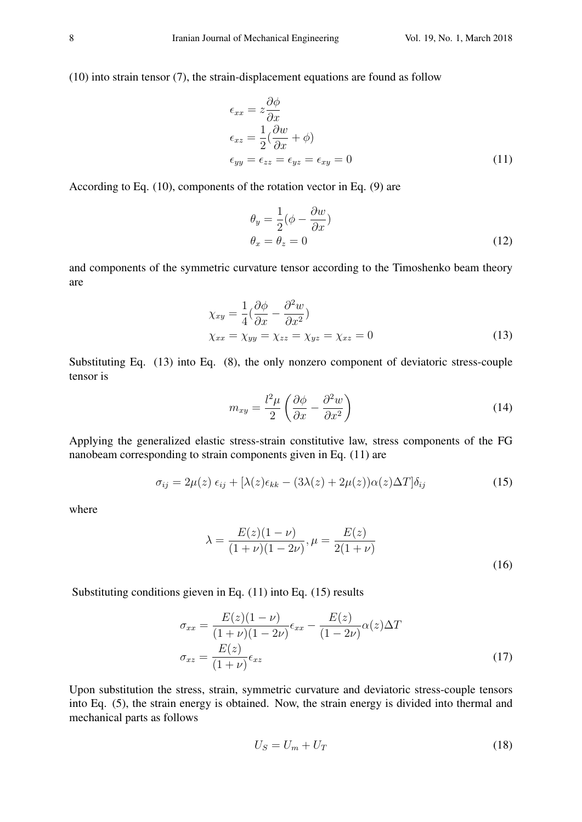(10) into strain tensor (7), the strain-displacement equations are found as follow

$$
\epsilon_{xx} = z \frac{\partial \phi}{\partial x} \n\epsilon_{xz} = \frac{1}{2} (\frac{\partial w}{\partial x} + \phi) \n\epsilon_{yy} = \epsilon_{zz} = \epsilon_{yz} = \epsilon_{xy} = 0
$$
\n(11)

According to Eq. (10), components of the rotation vector in Eq. (9) are

$$
\theta_y = \frac{1}{2} (\phi - \frac{\partial w}{\partial x})
$$
  
\n
$$
\theta_x = \theta_z = 0
$$
\n(12)

and components of the symmetric curvature tensor according to the Timoshenko beam theory are

$$
\chi_{xy} = \frac{1}{4} \left( \frac{\partial \phi}{\partial x} - \frac{\partial^2 w}{\partial x^2} \right)
$$
  

$$
\chi_{xx} = \chi_{yy} = \chi_{zz} = \chi_{yz} = \chi_{xz} = 0
$$
 (13)

Substituting Eq. (13) into Eq. (8), the only nonzero component of deviatoric stress-couple tensor is

$$
m_{xy} = \frac{l^2 \mu}{2} \left( \frac{\partial \phi}{\partial x} - \frac{\partial^2 w}{\partial x^2} \right)
$$
 (14)

Applying the generalized elastic stress-strain constitutive law, stress components of the FG nanobeam corresponding to strain components given in Eq. (11) are

$$
\sigma_{ij} = 2\mu(z) \epsilon_{ij} + [\lambda(z)\epsilon_{kk} - (3\lambda(z) + 2\mu(z))\alpha(z)\Delta T] \delta_{ij}
$$
\n(15)

where

$$
\lambda = \frac{E(z)(1-\nu)}{(1+\nu)(1-2\nu)}, \mu = \frac{E(z)}{2(1+\nu)}
$$
\n(16)

Substituting conditions gieven in Eq. (11) into Eq. (15) results

$$
\sigma_{xx} = \frac{E(z)(1-\nu)}{(1+\nu)(1-2\nu)} \epsilon_{xx} - \frac{E(z)}{(1-2\nu)} \alpha(z) \Delta T
$$

$$
\sigma_{xz} = \frac{E(z)}{(1+\nu)} \epsilon_{xz}
$$
(17)

Upon substitution the stress, strain, symmetric curvature and deviatoric stress-couple tensors into Eq. (5), the strain energy is obtained. Now, the strain energy is divided into thermal and mechanical parts as follows

$$
U_S = U_m + U_T \tag{18}
$$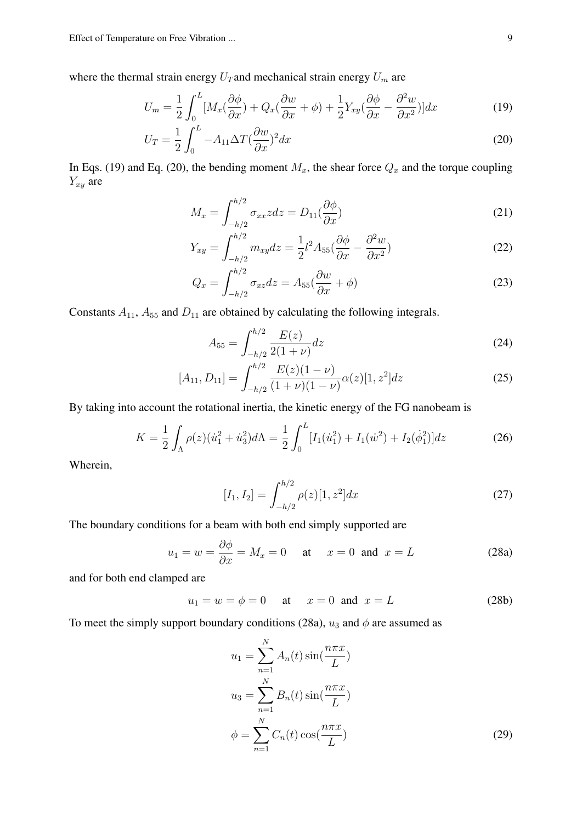where the thermal strain energy  $U_T$  and mechanical strain energy  $U_m$  are

$$
U_m = \frac{1}{2} \int_0^L [M_x(\frac{\partial \phi}{\partial x}) + Q_x(\frac{\partial w}{\partial x} + \phi) + \frac{1}{2} Y_{xy}(\frac{\partial \phi}{\partial x} - \frac{\partial^2 w}{\partial x^2})] dx \tag{19}
$$

$$
U_T = \frac{1}{2} \int_0^L -A_{11} \Delta T (\frac{\partial w}{\partial x})^2 dx
$$
\n(20)

In Eqs. (19) and Eq. (20), the bending moment  $M_x$ , the shear force  $Q_x$  and the torque coupling  $Y_{xy}$  are

$$
M_x = \int_{-h/2}^{h/2} \sigma_{xx} z \, dz = D_{11} \left(\frac{\partial \phi}{\partial x}\right) \tag{21}
$$

$$
Y_{xy} = \int_{-h/2}^{h/2} m_{xy} dz = \frac{1}{2} l^2 A_{55} \left(\frac{\partial \phi}{\partial x} - \frac{\partial^2 w}{\partial x^2}\right)
$$
(22)

$$
Q_x = \int_{-h/2}^{h/2} \sigma_{xz} dz = A_{55} \left(\frac{\partial w}{\partial x} + \phi\right)
$$
 (23)

Constants  $A_{11}$ ,  $A_{55}$  and  $D_{11}$  are obtained by calculating the following integrals.

$$
A_{55} = \int_{-h/2}^{h/2} \frac{E(z)}{2(1+\nu)} dz
$$
 (24)

$$
[A_{11}, D_{11}] = \int_{-h/2}^{h/2} \frac{E(z)(1-\nu)}{(1+\nu)(1-\nu)} \alpha(z)[1, z^2] dz
$$
 (25)

By taking into account the rotational inertia, the kinetic energy of the FG nanobeam is

$$
K = \frac{1}{2} \int_{\Lambda} \rho(z) (\dot{u}_1^2 + \dot{u}_3^2) d\Lambda = \frac{1}{2} \int_0^L [I_1(\dot{u}_1^2) + I_1(\dot{w}^2) + I_2(\dot{\phi}_1^2)] dz \tag{26}
$$

Wherein,

$$
[I_1, I_2] = \int_{-h/2}^{h/2} \rho(z)[1, z^2] dx
$$
 (27)

The boundary conditions for a beam with both end simply supported are

$$
u_1 = w = \frac{\partial \phi}{\partial x} = M_x = 0
$$
 at  $x = 0$  and  $x = L$  (28a)

and for both end clamped are

$$
u_1 = w = \phi = 0
$$
 at  $x = 0$  and  $x = L$  (28b)

To meet the simply support boundary conditions (28a),  $u_3$  and  $\phi$  are assumed as

$$
u_1 = \sum_{n=1}^{N} A_n(t) \sin(\frac{n\pi x}{L})
$$
  
\n
$$
u_3 = \sum_{n=1}^{N} B_n(t) \sin(\frac{n\pi x}{L})
$$
  
\n
$$
\phi = \sum_{n=1}^{N} C_n(t) \cos(\frac{n\pi x}{L})
$$
\n(29)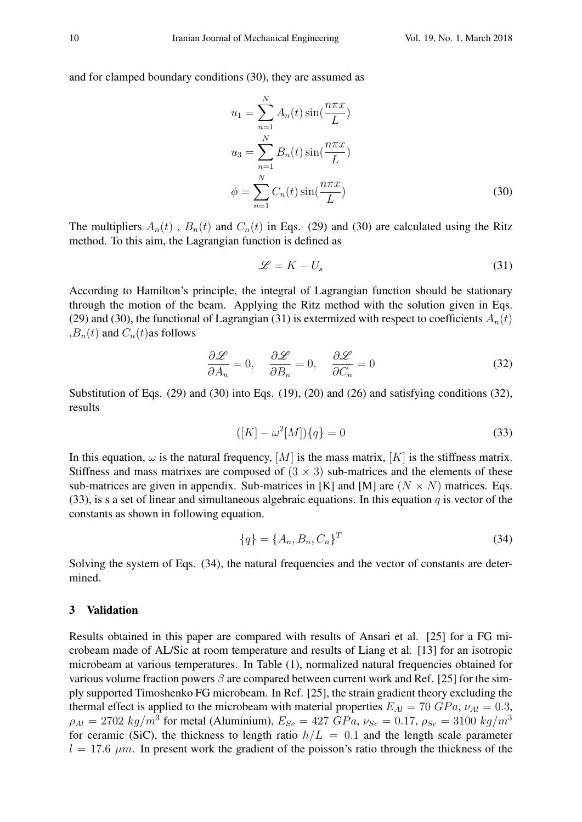and for clamped boundary conditions (30), they are assumed as

$$
u_1 = \sum_{n=1}^{N} A_n(t) \sin(\frac{n\pi x}{L})
$$
  
\n
$$
u_3 = \sum_{n=1}^{N} B_n(t) \sin(\frac{n\pi x}{L})
$$
  
\n
$$
\phi = \sum_{n=1}^{N} C_n(t) \sin(\frac{n\pi x}{L})
$$
\n(30)

The multipliers  $A_n(t)$ ,  $B_n(t)$  and  $C_n(t)$  in Eqs. (29) and (30) are calculated using the Ritz method. To this aim, the Lagrangian function is defined as

$$
\mathcal{L} = K - U_s \tag{31}
$$

According to Hamilton's principle, the integral of Lagrangian function should be stationary through the motion of the beam. Applying the Ritz method with the solution given in Eqs. (29) and (30), the functional of Lagrangian (31) is extermized with respect to coefficients  $A_n(t)$  $B_n(t)$  and  $C_n(t)$  as follows

$$
\frac{\partial \mathcal{L}}{\partial A_n} = 0, \quad \frac{\partial \mathcal{L}}{\partial B_n} = 0, \quad \frac{\partial \mathcal{L}}{\partial C_n} = 0 \tag{32}
$$

Substitution of Eqs. (29) and (30) into Eqs. (19), (20) and (26) and satisfying conditions (32), results

$$
([K] - \omega^2[M])\{q\} = 0
$$
\n(33)

In this equation,  $\omega$  is the natural frequency,  $[M]$  is the mass matrix,  $[K]$  is the stiffness matrix. Stiffness and mass matrixes are composed of  $(3 \times 3)$  sub-matrices and the elements of these sub-matrices are given in appendix. Sub-matrices in [K] and [M] are  $(N \times N)$  matrices. Eqs. (33), is s a set of linear and simultaneous algebraic equations. In this equation q is vector of the constants as shown in following equation.

$$
\{q\} = \{A_n, B_n, C_n\}^T
$$
\n(34)

Solving the system of Eqs. (34), the natural frequencies and the vector of constants are determined.

## 3 Validation

Results obtained in this paper are compared with results of Ansari et al. [25] for a FG microbeam made of AL/Sic at room temperature and results of Liang et al. [13] for an isotropic microbeam at various temperatures. In Table (1), normalized natural frequencies obtained for various volume fraction powers  $\beta$  are compared between current work and Ref. [25] for the simply supported Timoshenko FG microbeam. In Ref. [25], the strain gradient theory excluding the thermal effect is applied to the microbeam with material properties  $E_{Al} = 70 \; GPa$ ,  $\nu_{Al} = 0.3$ ,  $\rho_{Al} = 2702 \ kg/m^3$  for metal (Aluminium),  $E_{Sc} = 427 \ GPa$ ,  $\nu_{Sc} = 0.17$ ,  $\rho_{Sc} = 3100 \ kg/m^3$ for ceramic (SiC), the thickness to length ratio  $h/L = 0.1$  and the length scale parameter  $l = 17.6 \ \mu m$ . In present work the gradient of the poisson's ratio through the thickness of the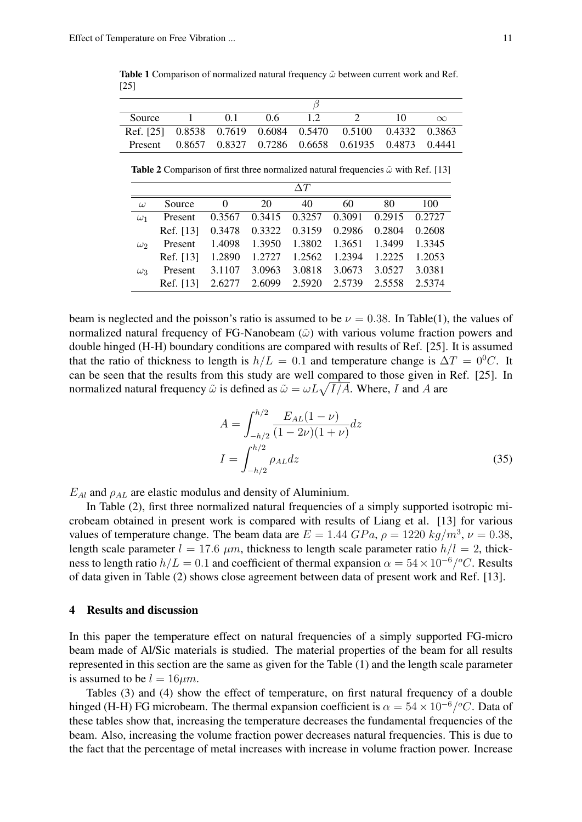Table 1 Comparison of normalized natural frequency  $\tilde{\omega}$  between current work and Ref. [25]

| Source  | 01 | 06 | $\perp$ |                                                            | $\infty$ |
|---------|----|----|---------|------------------------------------------------------------|----------|
|         |    |    |         | Ref. [25] 0.8538 0.7619 0.6084 0.5470 0.5100 0.4332 0.3863 |          |
| Present |    |    |         | 0.8657 0.8327 0.7286 0.6658 0.61935 0.4873 0.4441          |          |

**Table 2** Comparison of first three normalized natural frequencies  $\tilde{\omega}$  with Ref. [13]

| $\omega$   | Source    | $\Omega$ | 20                   | 40     | 60     | 80     | 100    |
|------------|-----------|----------|----------------------|--------|--------|--------|--------|
| $\omega_1$ | Present   | 0.3567   | 0.3415 0.3257 0.3091 |        |        | 0.2915 | 0.2727 |
|            | Ref. [13] | 0.3478   | 0.3322 0.3159 0.2986 |        |        | 0.2804 | 0.2608 |
| $\omega_2$ | Present   | 1.4098   | 1.3950 1.3802        |        | 1.3651 | 1.3499 | 1.3345 |
|            | Ref. [13] | 1.2890   | 1.2727 1.2562        |        | 1.2394 | 1.2225 | 1.2053 |
| $\omega_3$ | Present   | 3.1107   | 3.0963               | 3.0818 | 3.0673 | 3.0527 | 3.0381 |
|            | Ref. [13] | 2.6277   | 2.6099               | 2.5920 | 2.5739 | 2.5558 | 2.5374 |

beam is neglected and the poisson's ratio is assumed to be  $\nu = 0.38$ . In Table(1), the values of normalized natural frequency of FG-Nanobeam  $(\tilde{\omega})$  with various volume fraction powers and double hinged (H-H) boundary conditions are compared with results of Ref. [25]. It is assumed that the ratio of thickness to length is  $h/L = 0.1$  and temperature change is  $\Delta T = 0^0 C$ . It can be seen that the results from this study are well compared to those given in Ref. [25]. In normalized natural frequency  $\tilde{\omega}$  is defined as  $\tilde{\omega} = \omega L \sqrt{I/A}$ . Where, I and A are

$$
A = \int_{-h/2}^{h/2} \frac{E_{AL}(1 - \nu)}{(1 - 2\nu)(1 + \nu)} dz
$$
  

$$
I = \int_{-h/2}^{h/2} \rho_{AL} dz
$$
 (35)

 $E_{Al}$  and  $\rho_{AL}$  are elastic modulus and density of Aluminium.

In Table (2), first three normalized natural frequencies of a simply supported isotropic microbeam obtained in present work is compared with results of Liang et al. [13] for various values of temperature change. The beam data are  $E = 1.44 \; GPa$ ,  $\rho = 1220 \; kg/m^3$ ,  $\nu = 0.38$ , length scale parameter  $l = 17.6 \ \mu m$ , thickness to length scale parameter ratio  $h/l = 2$ , thickness to length ratio  $h/L = 0.1$  and coefficient of thermal expansion  $\alpha = 54 \times 10^{-6}/^{\circ}C$ . Results of data given in Table (2) shows close agreement between data of present work and Ref. [13].

#### 4 Results and discussion

In this paper the temperature effect on natural frequencies of a simply supported FG-micro beam made of Al/Sic materials is studied. The material properties of the beam for all results represented in this section are the same as given for the Table (1) and the length scale parameter is assumed to be  $l = 16 \mu m$ .

Tables (3) and (4) show the effect of temperature, on first natural frequency of a double hinged (H-H) FG microbeam. The thermal expansion coefficient is  $\alpha = 54 \times 10^{-6}/^{\circ}C$ . Data of these tables show that, increasing the temperature decreases the fundamental frequencies of the beam. Also, increasing the volume fraction power decreases natural frequencies. This is due to the fact that the percentage of metal increases with increase in volume fraction power. Increase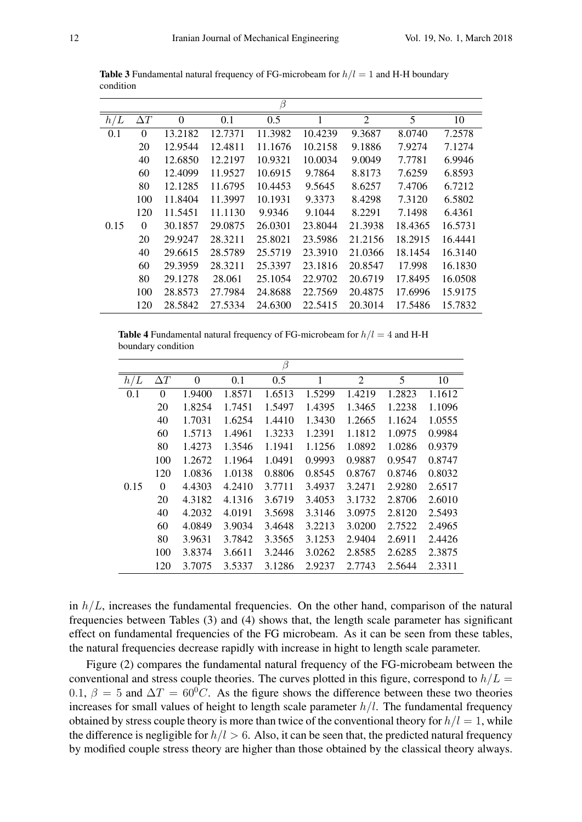|      |            |                |         | β       |         |                |         |         |
|------|------------|----------------|---------|---------|---------|----------------|---------|---------|
| h/L  | $\Delta T$ | $\overline{0}$ | 0.1     | 0.5     |         | $\overline{2}$ | 5       | 10      |
| 0.1  | $\theta$   | 13.2182        | 12.7371 | 11.3982 | 10.4239 | 9.3687         | 8.0740  | 7.2578  |
|      | 20         | 12.9544        | 12.4811 | 11.1676 | 10.2158 | 9.1886         | 7.9274  | 7.1274  |
|      | 40         | 12.6850        | 12.2197 | 10.9321 | 10.0034 | 9.0049         | 7.7781  | 6.9946  |
|      | 60         | 12.4099        | 11.9527 | 10.6915 | 9.7864  | 8.8173         | 7.6259  | 6.8593  |
|      | 80         | 12.1285        | 11.6795 | 10.4453 | 9.5645  | 8.6257         | 7.4706  | 6.7212  |
|      | 100        | 11.8404        | 11.3997 | 10.1931 | 9.3373  | 8.4298         | 7.3120  | 6.5802  |
|      | 120        | 11.5451        | 11.1130 | 9.9346  | 9.1044  | 8.2291         | 7.1498  | 6.4361  |
| 0.15 | $\theta$   | 30.1857        | 29.0875 | 26.0301 | 23.8044 | 21.3938        | 18.4365 | 16.5731 |
|      | 20         | 29.9247        | 28.3211 | 25.8021 | 23.5986 | 21.2156        | 18.2915 | 16.4441 |
|      | 40         | 29.6615        | 28.5789 | 25.5719 | 23.3910 | 21.0366        | 18.1454 | 16.3140 |
|      | 60         | 29.3959        | 28.3211 | 25.3397 | 23.1816 | 20.8547        | 17.998  | 16.1830 |
|      | 80         | 29.1278        | 28.061  | 25.1054 | 22.9702 | 20.6719        | 17.8495 | 16.0508 |
|      | 100        | 28.8573        | 27.7984 | 24.8688 | 22.7569 | 20.4875        | 17.6996 | 15.9175 |
|      | 120        | 28.5842        | 27.5334 | 24.6300 | 22.5415 | 20.3014        | 17.5486 | 15.7832 |

**Table 3** Fundamental natural frequency of FG-microbeam for  $h/l = 1$  and H-H boundary condition

**Table 4** Fundamental natural frequency of FG-microbeam for  $h/l = 4$  and H-H boundary condition

|      |            |                |        | $\beta$ |        |                |        |        |
|------|------------|----------------|--------|---------|--------|----------------|--------|--------|
| h/L  | $\Delta T$ | $\overline{0}$ | 0.1    | 0.5     | 1      | $\overline{2}$ | 5      | 10     |
| 0.1  | $\theta$   | 1.9400         | 1.8571 | 1.6513  | 1.5299 | 1.4219         | 1.2823 | 1.1612 |
|      | 20         | 1.8254         | 1.7451 | 1.5497  | 1.4395 | 1.3465         | 1.2238 | 1.1096 |
|      | 40         | 1.7031         | 1.6254 | 1.4410  | 1.3430 | 1.2665         | 1.1624 | 1.0555 |
|      | 60         | 1.5713         | 1.4961 | 1.3233  | 1.2391 | 1.1812         | 1.0975 | 0.9984 |
|      | 80         | 1.4273         | 1.3546 | 1.1941  | 1.1256 | 1.0892         | 1.0286 | 0.9379 |
|      | 100        | 1.2672         | 1.1964 | 1.0491  | 0.9993 | 0.9887         | 0.9547 | 0.8747 |
|      | 120        | 1.0836         | 1.0138 | 0.8806  | 0.8545 | 0.8767         | 0.8746 | 0.8032 |
| 0.15 | $\Omega$   | 4.4303         | 4.2410 | 3.7711  | 3.4937 | 3.2471         | 2.9280 | 2.6517 |
|      | 20         | 4.3182         | 4.1316 | 3.6719  | 3.4053 | 3.1732         | 2.8706 | 2.6010 |
|      | 40         | 4.2032         | 4.0191 | 3.5698  | 3.3146 | 3.0975         | 2.8120 | 2.5493 |
|      | 60         | 4.0849         | 3.9034 | 3.4648  | 3.2213 | 3.0200         | 2.7522 | 2.4965 |
|      | 80         | 3.9631         | 3.7842 | 3.3565  | 3.1253 | 2.9404         | 2.6911 | 2.4426 |
|      | 100        | 3.8374         | 3.6611 | 3.2446  | 3.0262 | 2.8585         | 2.6285 | 2.3875 |
|      | 120        | 3.7075         | 3.5337 | 3.1286  | 2.9237 | 2.7743         | 2.5644 | 2.3311 |

in  $h/L$ , increases the fundamental frequencies. On the other hand, comparison of the natural frequencies between Tables (3) and (4) shows that, the length scale parameter has significant effect on fundamental frequencies of the FG microbeam. As it can be seen from these tables, the natural frequencies decrease rapidly with increase in hight to length scale parameter.

Figure (2) compares the fundamental natural frequency of the FG-microbeam between the conventional and stress couple theories. The curves plotted in this figure, correspond to  $h/L =$ 0.1,  $\beta = 5$  and  $\Delta T = 60^{\circ}C$ . As the figure shows the difference between these two theories increases for small values of height to length scale parameter  $h/l$ . The fundamental frequency obtained by stress couple theory is more than twice of the conventional theory for  $h/l = 1$ , while the difference is negligible for  $h/l > 6$ . Also, it can be seen that, the predicted natural frequency by modified couple stress theory are higher than those obtained by the classical theory always.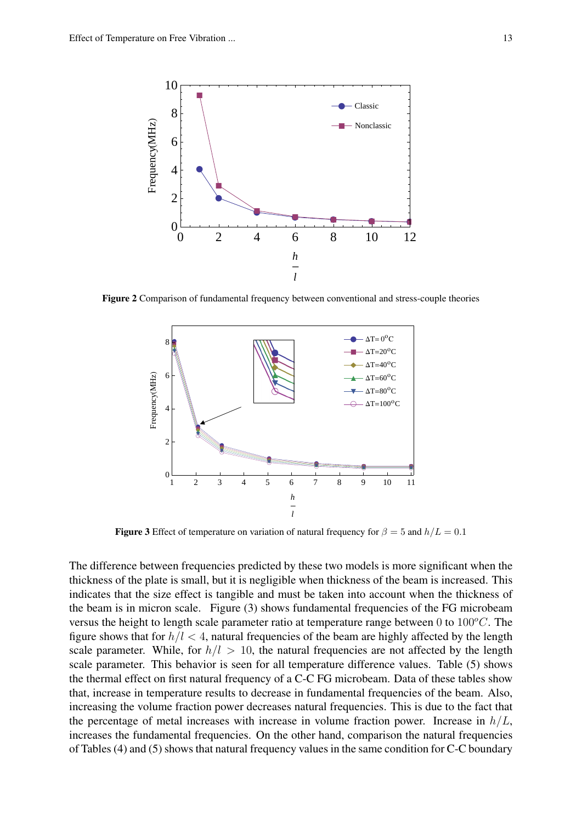

Figure 2 Comparison of fundamental frequency between conventional and stress-couple theories



**Figure 3** Effect of temperature on variation of natural frequency for  $\beta = 5$  and  $h/L = 0.1$ 

The difference between frequencies predicted by these two models is more significant when the thickness of the plate is small, but it is negligible when thickness of the beam is increased. This indicates that the size effect is tangible and must be taken into account when the thickness of the beam is in micron scale. Figure (3) shows fundamental frequencies of the FG microbeam versus the height to length scale parameter ratio at temperature range between 0 to  $100^{\circ}$ C. The figure shows that for  $h/l < 4$ , natural frequencies of the beam are highly affected by the length scale parameter. While, for  $h/l > 10$ , the natural frequencies are not affected by the length scale parameter. This behavior is seen for all temperature difference values. Table (5) shows the thermal effect on first natural frequency of a C-C FG microbeam. Data of these tables show that, increase in temperature results to decrease in fundamental frequencies of the beam. Also, increasing the volume fraction power decreases natural frequencies. This is due to the fact that the percentage of metal increases with increase in volume fraction power. Increase in  $h/L$ , increases the fundamental frequencies. On the other hand, comparison the natural frequencies of Tables (4) and (5) shows that natural frequency values in the same condition for C-C boundary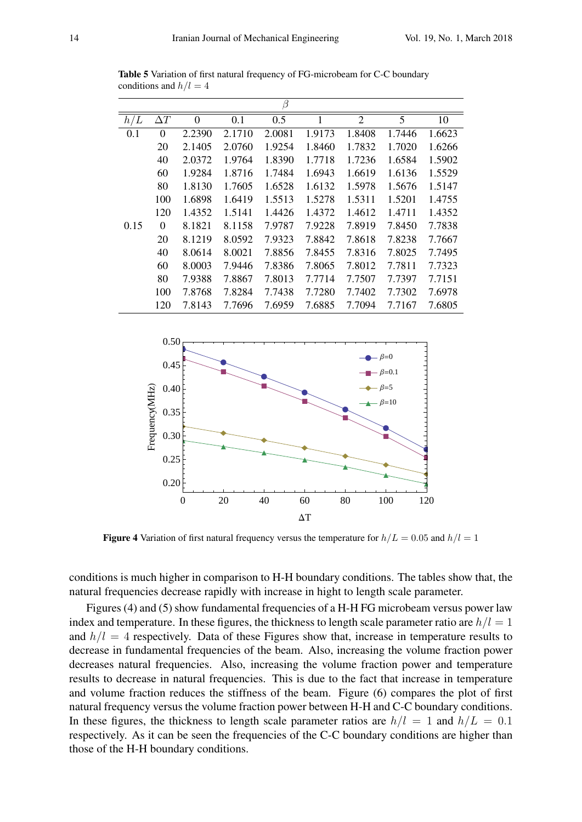|      |                |                  |        | β      |        |                |        |        |
|------|----------------|------------------|--------|--------|--------|----------------|--------|--------|
| h/L  | $\Delta T$     | $\boldsymbol{0}$ | 0.1    | 0.5    | 1      | $\overline{2}$ | 5      | 10     |
| 0.1  | $\overline{0}$ | 2.2390           | 2.1710 | 2.0081 | 1.9173 | 1.8408         | 1.7446 | 1.6623 |
|      | 20             | 2.1405           | 2.0760 | 1.9254 | 1.8460 | 1.7832         | 1.7020 | 1.6266 |
|      | 40             | 2.0372           | 1.9764 | 1.8390 | 1.7718 | 1.7236         | 1.6584 | 1.5902 |
|      | 60             | 1.9284           | 1.8716 | 1.7484 | 1.6943 | 1.6619         | 1.6136 | 1.5529 |
|      | 80             | 1.8130           | 1.7605 | 1.6528 | 1.6132 | 1.5978         | 1.5676 | 1.5147 |
|      | 100            | 1.6898           | 1.6419 | 1.5513 | 1.5278 | 1.5311         | 1.5201 | 1.4755 |
|      | 120            | 1.4352           | 1.5141 | 1.4426 | 1.4372 | 1.4612         | 1.4711 | 1.4352 |
| 0.15 | $\theta$       | 8.1821           | 8.1158 | 7.9787 | 7.9228 | 7.8919         | 7.8450 | 7.7838 |
|      | 20             | 8.1219           | 8.0592 | 7.9323 | 7.8842 | 7.8618         | 7.8238 | 7.7667 |
|      | 40             | 8.0614           | 8.0021 | 7.8856 | 7.8455 | 7.8316         | 7.8025 | 7.7495 |
|      | 60             | 8.0003           | 7.9446 | 7.8386 | 7.8065 | 7.8012         | 7.7811 | 7.7323 |
|      | 80             | 7.9388           | 7.8867 | 7.8013 | 7.7714 | 7.7507         | 7.7397 | 7.7151 |
|      | 100            | 7.8768           | 7.8284 | 7.7438 | 7.7280 | 7.7402         | 7.7302 | 7.6978 |
|      | 120            | 7.8143           | 7.7696 | 7.6959 | 7.6885 | 7.7094         | 7.7167 | 7.6805 |

Table 5 Variation of first natural frequency of FG-microbeam for C-C boundary conditions and  $h/l = 4$ 



**Figure 4** Variation of first natural frequency versus the temperature for  $h/L = 0.05$  and  $h/l = 1$ 

conditions is much higher in comparison to H-H boundary conditions. The tables show that, the natural frequencies decrease rapidly with increase in hight to length scale parameter.

Figures (4) and (5) show fundamental frequencies of a H-H FG microbeam versus power law index and temperature. In these figures, the thickness to length scale parameter ratio are  $h/l = 1$ and  $h/l = 4$  respectively. Data of these Figures show that, increase in temperature results to decrease in fundamental frequencies of the beam. Also, increasing the volume fraction power decreases natural frequencies. Also, increasing the volume fraction power and temperature results to decrease in natural frequencies. This is due to the fact that increase in temperature and volume fraction reduces the stiffness of the beam. Figure (6) compares the plot of first natural frequency versus the volume fraction power between H-H and C-C boundary conditions. In these figures, the thickness to length scale parameter ratios are  $h/l = 1$  and  $h/L = 0.1$ respectively. As it can be seen the frequencies of the C-C boundary conditions are higher than those of the H-H boundary conditions.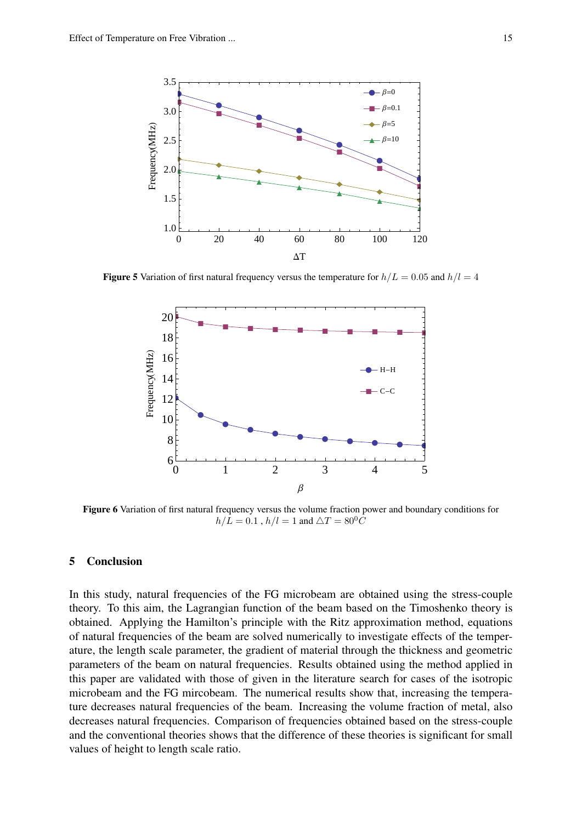

**Figure 5** Variation of first natural frequency versus the temperature for  $h/L = 0.05$  and  $h/l = 4$ 



Figure 6 Variation of first natural frequency versus the volume fraction power and boundary conditions for  $h/L = 0.1$ ,  $h/l = 1$  and  $\triangle T = 80^{\circ}C$ 

### 5 Conclusion

In this study, natural frequencies of the FG microbeam are obtained using the stress-couple theory. To this aim, the Lagrangian function of the beam based on the Timoshenko theory is obtained. Applying the Hamilton's principle with the Ritz approximation method, equations of natural frequencies of the beam are solved numerically to investigate effects of the temperature, the length scale parameter, the gradient of material through the thickness and geometric parameters of the beam on natural frequencies. Results obtained using the method applied in this paper are validated with those of given in the literature search for cases of the isotropic microbeam and the FG mircobeam. The numerical results show that, increasing the temperature decreases natural frequencies of the beam. Increasing the volume fraction of metal, also decreases natural frequencies. Comparison of frequencies obtained based on the stress-couple and the conventional theories shows that the difference of these theories is significant for small values of height to length scale ratio.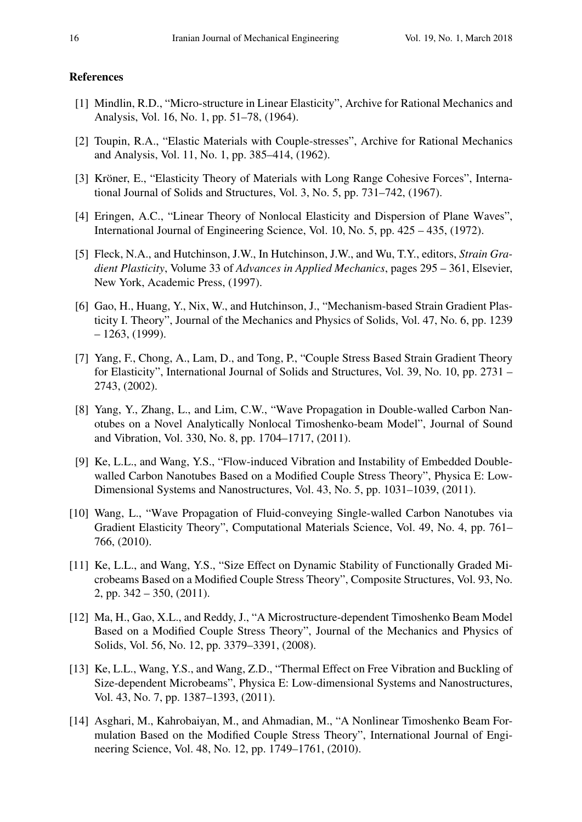#### References

- [1] Mindlin, R.D., "Micro-structure in Linear Elasticity", Archive for Rational Mechanics and Analysis, Vol. 16, No. 1, pp. 51–78, (1964).
- [2] Toupin, R.A., "Elastic Materials with Couple-stresses", Archive for Rational Mechanics and Analysis, Vol. 11, No. 1, pp. 385–414, (1962).
- [3] Kröner, E., "Elasticity Theory of Materials with Long Range Cohesive Forces", International Journal of Solids and Structures, Vol. 3, No. 5, pp. 731–742, (1967).
- [4] Eringen, A.C., "Linear Theory of Nonlocal Elasticity and Dispersion of Plane Waves", International Journal of Engineering Science, Vol. 10, No. 5, pp. 425 – 435, (1972).
- [5] Fleck, N.A., and Hutchinson, J.W., In Hutchinson, J.W., and Wu, T.Y., editors, *Strain Gradient Plasticity*, Volume 33 of *Advances in Applied Mechanics*, pages 295 – 361, Elsevier, New York, Academic Press, (1997).
- [6] Gao, H., Huang, Y., Nix, W., and Hutchinson, J., "Mechanism-based Strain Gradient Plasticity I. Theory", Journal of the Mechanics and Physics of Solids, Vol. 47, No. 6, pp. 1239  $-1263, (1999)$ .
- [7] Yang, F., Chong, A., Lam, D., and Tong, P., "Couple Stress Based Strain Gradient Theory for Elasticity", International Journal of Solids and Structures, Vol. 39, No. 10, pp. 2731 – 2743, (2002).
- [8] Yang, Y., Zhang, L., and Lim, C.W., "Wave Propagation in Double-walled Carbon Nanotubes on a Novel Analytically Nonlocal Timoshenko-beam Model", Journal of Sound and Vibration, Vol. 330, No. 8, pp. 1704–1717, (2011).
- [9] Ke, L.L., and Wang, Y.S., "Flow-induced Vibration and Instability of Embedded Doublewalled Carbon Nanotubes Based on a Modified Couple Stress Theory", Physica E: Low-Dimensional Systems and Nanostructures, Vol. 43, No. 5, pp. 1031–1039, (2011).
- [10] Wang, L., "Wave Propagation of Fluid-conveying Single-walled Carbon Nanotubes via Gradient Elasticity Theory", Computational Materials Science, Vol. 49, No. 4, pp. 761– 766, (2010).
- [11] Ke, L.L., and Wang, Y.S., "Size Effect on Dynamic Stability of Functionally Graded Microbeams Based on a Modified Couple Stress Theory", Composite Structures, Vol. 93, No. 2, pp.  $342 - 350$ ,  $(2011)$ .
- [12] Ma, H., Gao, X.L., and Reddy, J., "A Microstructure-dependent Timoshenko Beam Model Based on a Modified Couple Stress Theory", Journal of the Mechanics and Physics of Solids, Vol. 56, No. 12, pp. 3379–3391, (2008).
- [13] Ke, L.L., Wang, Y.S., and Wang, Z.D., "Thermal Effect on Free Vibration and Buckling of Size-dependent Microbeams", Physica E: Low-dimensional Systems and Nanostructures, Vol. 43, No. 7, pp. 1387–1393, (2011).
- [14] Asghari, M., Kahrobaiyan, M., and Ahmadian, M., "A Nonlinear Timoshenko Beam Formulation Based on the Modified Couple Stress Theory", International Journal of Engineering Science, Vol. 48, No. 12, pp. 1749–1761, (2010).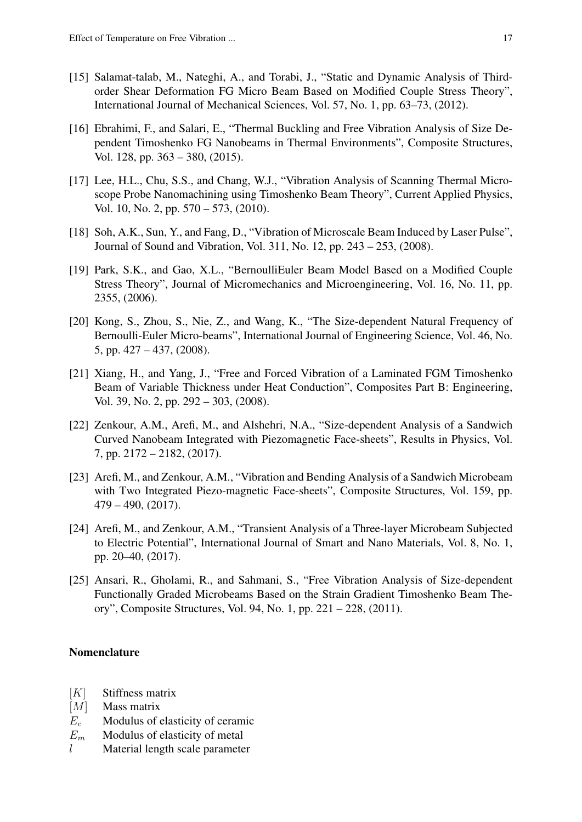- [15] Salamat-talab, M., Nateghi, A., and Torabi, J., "Static and Dynamic Analysis of Thirdorder Shear Deformation FG Micro Beam Based on Modified Couple Stress Theory", International Journal of Mechanical Sciences, Vol. 57, No. 1, pp. 63–73, (2012).
- [16] Ebrahimi, F., and Salari, E., "Thermal Buckling and Free Vibration Analysis of Size Dependent Timoshenko FG Nanobeams in Thermal Environments", Composite Structures, Vol. 128, pp. 363 – 380, (2015).
- [17] Lee, H.L., Chu, S.S., and Chang, W.J., "Vibration Analysis of Scanning Thermal Microscope Probe Nanomachining using Timoshenko Beam Theory", Current Applied Physics, Vol. 10, No. 2, pp. 570 – 573, (2010).
- [18] Soh, A.K., Sun, Y., and Fang, D., "Vibration of Microscale Beam Induced by Laser Pulse", Journal of Sound and Vibration, Vol. 311, No. 12, pp. 243 – 253, (2008).
- [19] Park, S.K., and Gao, X.L., "BernoulliEuler Beam Model Based on a Modified Couple Stress Theory", Journal of Micromechanics and Microengineering, Vol. 16, No. 11, pp. 2355, (2006).
- [20] Kong, S., Zhou, S., Nie, Z., and Wang, K., "The Size-dependent Natural Frequency of Bernoulli-Euler Micro-beams", International Journal of Engineering Science, Vol. 46, No. 5, pp. 427 – 437, (2008).
- [21] Xiang, H., and Yang, J., "Free and Forced Vibration of a Laminated FGM Timoshenko Beam of Variable Thickness under Heat Conduction", Composites Part B: Engineering, Vol. 39, No. 2, pp. 292 – 303, (2008).
- [22] Zenkour, A.M., Arefi, M., and Alshehri, N.A., "Size-dependent Analysis of a Sandwich Curved Nanobeam Integrated with Piezomagnetic Face-sheets", Results in Physics, Vol. 7, pp. 2172 – 2182, (2017).
- [23] Arefi, M., and Zenkour, A.M., "Vibration and Bending Analysis of a Sandwich Microbeam with Two Integrated Piezo-magnetic Face-sheets", Composite Structures, Vol. 159, pp. 479 – 490, (2017).
- [24] Arefi, M., and Zenkour, A.M., "Transient Analysis of a Three-layer Microbeam Subjected to Electric Potential", International Journal of Smart and Nano Materials, Vol. 8, No. 1, pp. 20–40, (2017).
- [25] Ansari, R., Gholami, R., and Sahmani, S., "Free Vibration Analysis of Size-dependent Functionally Graded Microbeams Based on the Strain Gradient Timoshenko Beam Theory", Composite Structures, Vol. 94, No. 1, pp. 221 – 228, (2011).

#### Nomenclature

- $[K]$  Stiffness matrix
- $|M|$  Mass matrix
- $E_c$  Modulus of elasticity of ceramic
- $E_m$  Modulus of elasticity of metal
- $l$  Material length scale parameter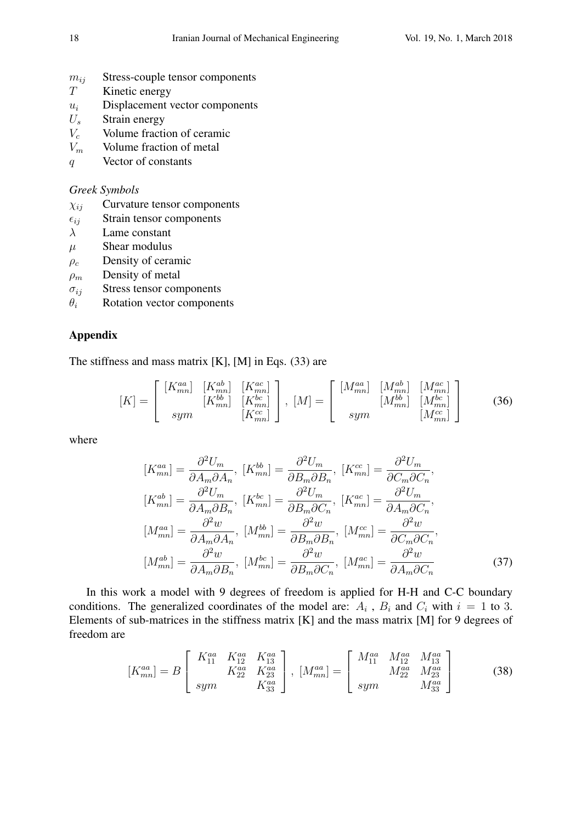- $m_{ij}$  Stress-couple tensor components
- T Kinetic energy
- $u_i$  Displacement vector components
- $U_s$  Strain energy
- $V_c$  Volume fraction of ceramic
- $V_m$  Volume fraction of metal
- q Vector of constants

## *Greek Symbols*

- $\chi_{ij}$  Curvature tensor components
- $\epsilon_{ij}$  Strain tensor components
- $\lambda$  Lame constant
- $\mu$  Shear modulus
- $\rho_c$  Density of ceramic
- $\rho_m$  Density of metal
- $\sigma_{ij}$  Stress tensor components
- $\theta_i$  Rotation vector components

# Appendix

The stiffness and mass matrix [K], [M] in Eqs. (33) are

$$
[K] = \begin{bmatrix} [K_{mn}^{aa}] & [K_{mn}^{ab}] & [K_{mn}^{ac}] \\ [K_{mn}^{bb}] & [K_{mn}^{bc}] \\ sym & [K_{mn}^{ca}] \end{bmatrix}, [M] = \begin{bmatrix} [M_{mn}^{aa}] & [M_{mn}^{ab}] & [M_{mn}^{ac}] \\ [M_{mn}^{bb}] & [M_{mn}^{bc}] \\ sym & [M_{mn}^{cc}] \end{bmatrix}
$$
(36)

where

$$
[K_{mn}^{aa}] = \frac{\partial^2 U_m}{\partial A_m \partial A_n}, [K_{mn}^{bb}] = \frac{\partial^2 U_m}{\partial B_m \partial B_n}, [K_{mn}^{cc}] = \frac{\partial^2 U_m}{\partial C_m \partial C_n},
$$
  
\n
$$
[K_{mn}^{ab}] = \frac{\partial^2 U_m}{\partial A_m \partial B_n}, [K_{mn}^{bc}] = \frac{\partial^2 U_m}{\partial B_m \partial C_n}, [K_{mn}^{ac}] = \frac{\partial^2 U_m}{\partial A_m \partial C_n},
$$
  
\n
$$
[M_{mn}^{aa}] = \frac{\partial^2 w}{\partial A_m \partial A_n}, [M_{mn}^{bb}] = \frac{\partial^2 w}{\partial B_m \partial B_n}, [M_{mn}^{cc}] = \frac{\partial^2 w}{\partial C_m \partial C_n},
$$
  
\n
$$
[M_{mn}^{ab}] = \frac{\partial^2 w}{\partial A_m \partial B_n}, [M_{mn}^{bc}] = \frac{\partial^2 w}{\partial B_m \partial C_n}, [M_{mn}^{ac}] = \frac{\partial^2 w}{\partial A_m \partial C_n}
$$
 (37)

In this work a model with 9 degrees of freedom is applied for H-H and C-C boundary conditions. The generalized coordinates of the model are:  $A_i$ ,  $B_i$  and  $C_i$  with  $i = 1$  to 3. Elements of sub-matrices in the stiffness matrix [K] and the mass matrix [M] for 9 degrees of freedom are

$$
[K_{mn}^{aa}] = B \begin{bmatrix} K_{11}^{aa} & K_{12}^{aa} & K_{13}^{aa} \\ K_{22}^{aa} & K_{23}^{aa} \\ sym & K_{33}^{aa} \end{bmatrix}, [M_{mn}^{aa}] = \begin{bmatrix} M_{11}^{aa} & M_{12}^{aa} & M_{13}^{aa} \\ M_{22}^{aa} & M_{23}^{aa} \\ sym & M_{33}^{aa} \end{bmatrix}
$$
(38)